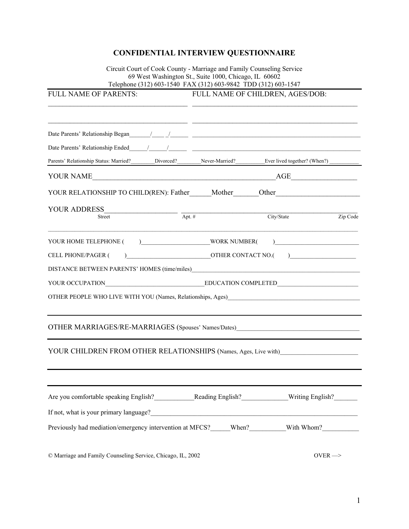## **CONFIDENTIAL INTERVIEW QUESTIONNAIRE**

Circuit Court of Cook County - Marriage and Family Counseling Service 69 West Washington St., Suite 1000, Chicago, IL 60602 Telephone (312) 603-1540 FAX (312) 603-9842 TDD (312) 603-1547

| FULL NAME OF PARENTS:                                                                                                                      | FULL NAME OF CHILDREN, AGES/DOB: |                     |                    |
|--------------------------------------------------------------------------------------------------------------------------------------------|----------------------------------|---------------------|--------------------|
|                                                                                                                                            |                                  |                     |                    |
| Parents' Relationship Status: Married?________Divorced?_________Never-Married?__________Ever lived together? (When?)______                 |                                  |                     |                    |
|                                                                                                                                            |                                  |                     |                    |
| YOUR RELATIONSHIP TO CHILD(REN): Father______Mother______Other___________________                                                          |                                  |                     |                    |
| <b>YOUR ADDRESS</b>                                                                                                                        |                                  |                     |                    |
| $\frac{1}{\sqrt{2}}$<br>Street                                                                                                             |                                  | City/State          | Zip Code           |
|                                                                                                                                            |                                  |                     |                    |
| <b>CELL PHONE/PAGER (</b>                                                                                                                  |                                  | OTHER CONTACT NO.() |                    |
|                                                                                                                                            |                                  |                     |                    |
|                                                                                                                                            |                                  |                     |                    |
| OTHER PEOPLE WHO LIVE WITH YOU (Names, Relationships, Ages)                                                                                |                                  |                     |                    |
| OTHER MARRIAGES/RE-MARRIAGES (Spouses' Names/Dates)_____________________________                                                           |                                  |                     |                    |
| YOUR CHILDREN FROM OTHER RELATIONSHIPS (Names, Ages, Live with)                                                                            |                                  |                     |                    |
|                                                                                                                                            |                                  |                     |                    |
|                                                                                                                                            |                                  |                     |                    |
| If not, what is your primary language?<br><u>Let</u> not, what is your primary language?<br><u>Let</u> not, what is your primary language? |                                  |                     |                    |
| Previously had mediation/emergency intervention at MFCS?_____When?________With Whom?_______________                                        |                                  |                     |                    |
| © Marriage and Family Counseling Service, Chicago, IL, 2002                                                                                |                                  |                     | OVER $\Rightarrow$ |